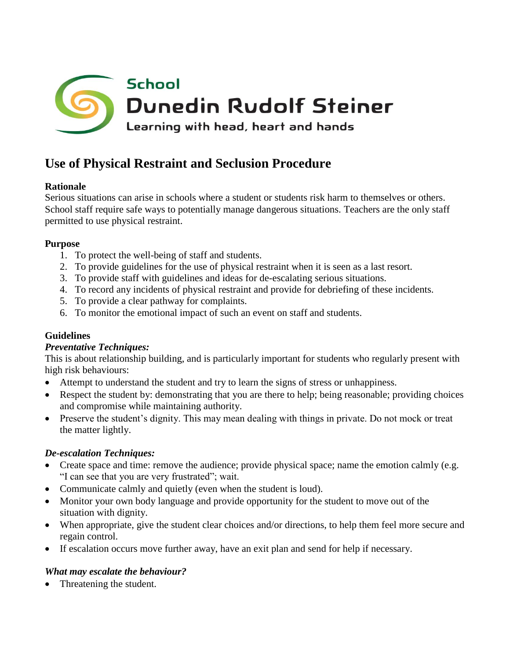

# **Use of Physical Restraint and Seclusion Procedure**

# **Rationale**

Serious situations can arise in schools where a student or students risk harm to themselves or others. School staff require safe ways to potentially manage dangerous situations. Teachers are the only staff permitted to use physical restraint.

## **Purpose**

- 1. To protect the well-being of staff and students.
- 2. To provide guidelines for the use of physical restraint when it is seen as a last resort.
- 3. To provide staff with guidelines and ideas for de-escalating serious situations.
- 4. To record any incidents of physical restraint and provide for debriefing of these incidents.
- 5. To provide a clear pathway for complaints.
- 6. To monitor the emotional impact of such an event on staff and students.

# **Guidelines**

#### *Preventative Techniques:*

This is about relationship building, and is particularly important for students who regularly present with high risk behaviours:

- Attempt to understand the student and try to learn the signs of stress or unhappiness.
- Respect the student by: demonstrating that you are there to help; being reasonable; providing choices and compromise while maintaining authority.
- Preserve the student's dignity. This may mean dealing with things in private. Do not mock or treat the matter lightly.

# *De-escalation Techniques:*

- Create space and time: remove the audience; provide physical space; name the emotion calmly (e.g. "I can see that you are very frustrated"; wait.
- Communicate calmly and quietly (even when the student is loud).
- Monitor your own body language and provide opportunity for the student to move out of the situation with dignity.
- When appropriate, give the student clear choices and/or directions, to help them feel more secure and regain control.
- If escalation occurs move further away, have an exit plan and send for help if necessary.

# *What may escalate the behaviour?*

Threatening the student.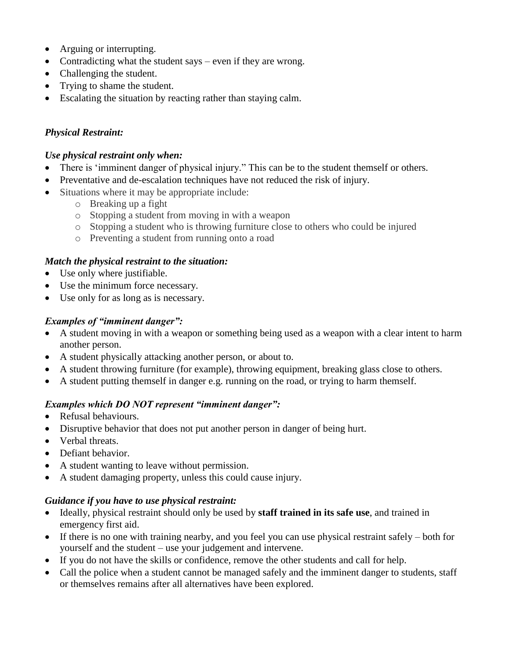- Arguing or interrupting.
- Contradicting what the student says even if they are wrong.
- Challenging the student.
- Trying to shame the student.
- Escalating the situation by reacting rather than staying calm.

### *Physical Restraint:*

#### *Use physical restraint only when:*

- There is 'imminent danger of physical injury." This can be to the student themself or others.
- Preventative and de-escalation techniques have not reduced the risk of injury.
- Situations where it may be appropriate include:
	- o Breaking up a fight
	- o Stopping a student from moving in with a weapon
	- o Stopping a student who is throwing furniture close to others who could be injured
	- o Preventing a student from running onto a road

#### *Match the physical restraint to the situation:*

- Use only where justifiable.
- Use the minimum force necessary.
- Use only for as long as is necessary.

#### *Examples of "imminent danger":*

- A student moving in with a weapon or something being used as a weapon with a clear intent to harm another person.
- A student physically attacking another person, or about to.
- A student throwing furniture (for example), throwing equipment, breaking glass close to others.
- A student putting themself in danger e.g. running on the road, or trying to harm themself.

#### *Examples which DO NOT represent "imminent danger":*

- Refusal behaviours.
- Disruptive behavior that does not put another person in danger of being hurt.
- Verbal threats.
- Defiant behavior.
- A student wanting to leave without permission.
- A student damaging property, unless this could cause injury.

#### *Guidance if you have to use physical restraint:*

- Ideally, physical restraint should only be used by **staff trained in its safe use**, and trained in emergency first aid.
- If there is no one with training nearby, and you feel you can use physical restraint safely both for yourself and the student – use your judgement and intervene.
- If you do not have the skills or confidence, remove the other students and call for help.
- Call the police when a student cannot be managed safely and the imminent danger to students, staff or themselves remains after all alternatives have been explored.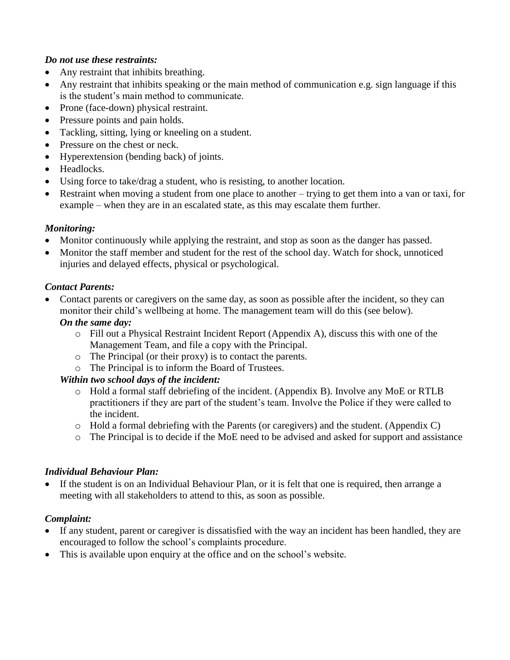#### *Do not use these restraints:*

- Any restraint that inhibits breathing.
- Any restraint that inhibits speaking or the main method of communication e.g. sign language if this is the student's main method to communicate.
- Prone (face-down) physical restraint.
- Pressure points and pain holds.
- Tackling, sitting, lying or kneeling on a student.
- Pressure on the chest or neck.
- Hyperextension (bending back) of joints.
- Headlocks.
- Using force to take/drag a student, who is resisting, to another location.
- Restraint when moving a student from one place to another trying to get them into a van or taxi, for example – when they are in an escalated state, as this may escalate them further.

#### *Monitoring:*

- Monitor continuously while applying the restraint, and stop as soon as the danger has passed.
- Monitor the staff member and student for the rest of the school day. Watch for shock, unnoticed injuries and delayed effects, physical or psychological.

## *Contact Parents:*

 Contact parents or caregivers on the same day, as soon as possible after the incident, so they can monitor their child's wellbeing at home. The management team will do this (see below).

#### *On the same day:*

- $\circ$  Fill out a Physical Restraint Incident Report (Appendix A), discuss this with one of the Management Team, and file a copy with the Principal.
- o The Principal (or their proxy) is to contact the parents.
- o The Principal is to inform the Board of Trustees.

# *Within two school days of the incident:*

- o Hold a formal staff debriefing of the incident. (Appendix B). Involve any MoE or RTLB practitioners if they are part of the student's team. Involve the Police if they were called to the incident.
- o Hold a formal debriefing with the Parents (or caregivers) and the student. (Appendix C)
- o The Principal is to decide if the MoE need to be advised and asked for support and assistance

# *Individual Behaviour Plan:*

 If the student is on an Individual Behaviour Plan, or it is felt that one is required, then arrange a meeting with all stakeholders to attend to this, as soon as possible.

# *Complaint:*

- If any student, parent or caregiver is dissatisfied with the way an incident has been handled, they are encouraged to follow the school's complaints procedure.
- This is available upon enquiry at the office and on the school's website.